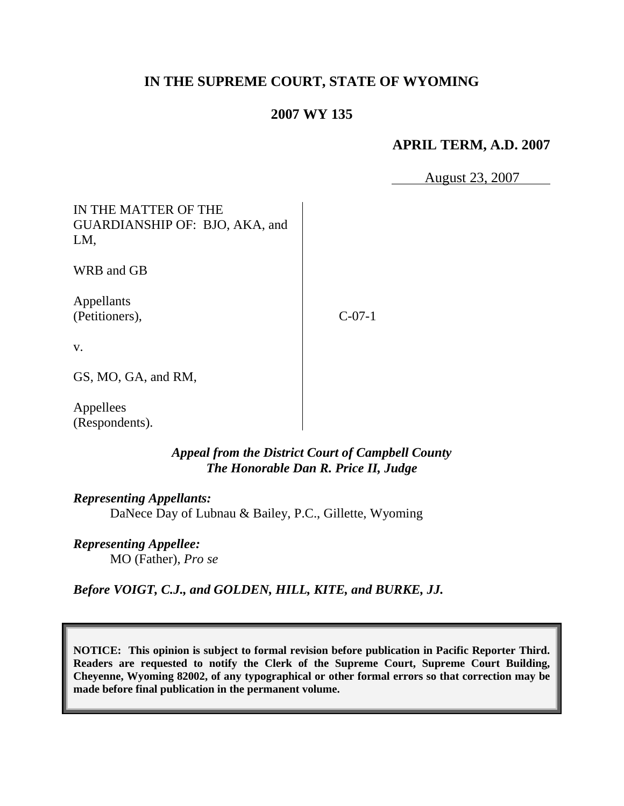# **IN THE SUPREME COURT, STATE OF WYOMING**

## **2007 WY 135**

### **APRIL TERM, A.D. 2007**

August 23, 2007

IN THE MATTER OF THE GUARDIANSHIP OF: BJO, AKA, and LM,

WRB and GB

Appellants (Petitioners),

C-07-1

v.

GS, MO, GA, and RM,

Appellees (Respondents).

> *Appeal from the District Court of Campbell County The Honorable Dan R. Price II, Judge*

*Representing Appellants:* DaNece Day of Lubnau & Bailey, P.C., Gillette, Wyoming

*Representing Appellee:* MO (Father), *Pro se*

*Before VOIGT, C.J., and GOLDEN, HILL, KITE, and BURKE, JJ.*

**NOTICE: This opinion is subject to formal revision before publication in Pacific Reporter Third. Readers are requested to notify the Clerk of the Supreme Court, Supreme Court Building, Cheyenne, Wyoming 82002, of any typographical or other formal errors so that correction may be made before final publication in the permanent volume.**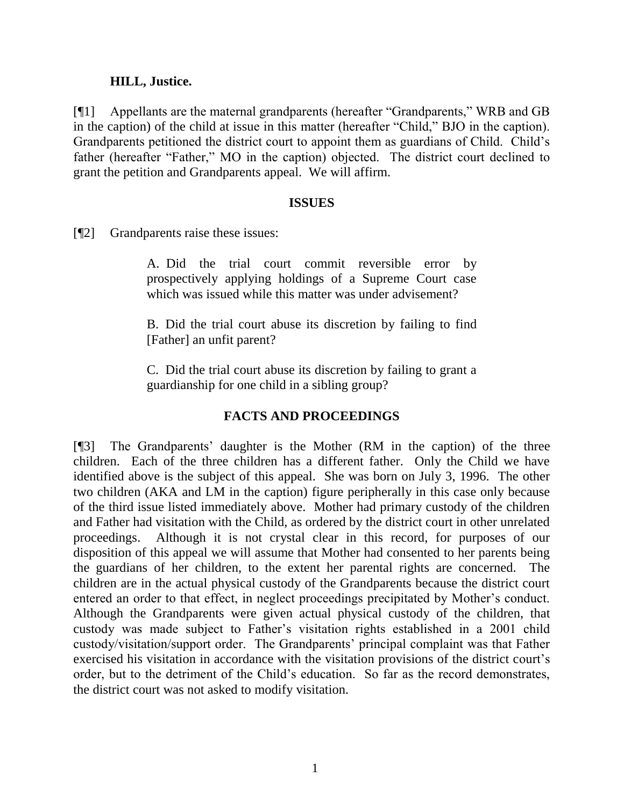#### **HILL, Justice.**

[¶1] Appellants are the maternal grandparents (hereafter "Grandparents," WRB and GB in the caption) of the child at issue in this matter (hereafter "Child," BJO in the caption). Grandparents petitioned the district court to appoint them as guardians of Child. Child's father (hereafter "Father," MO in the caption) objected. The district court declined to grant the petition and Grandparents appeal. We will affirm.

#### **ISSUES**

[¶2] Grandparents raise these issues:

A. Did the trial court commit reversible error by prospectively applying holdings of a Supreme Court case which was issued while this matter was under advisement?

B. Did the trial court abuse its discretion by failing to find [Father] an unfit parent?

C. Did the trial court abuse its discretion by failing to grant a guardianship for one child in a sibling group?

## **FACTS AND PROCEEDINGS**

[¶3] The Grandparents' daughter is the Mother (RM in the caption) of the three children. Each of the three children has a different father. Only the Child we have identified above is the subject of this appeal. She was born on July 3, 1996. The other two children (AKA and LM in the caption) figure peripherally in this case only because of the third issue listed immediately above. Mother had primary custody of the children and Father had visitation with the Child, as ordered by the district court in other unrelated proceedings. Although it is not crystal clear in this record, for purposes of our disposition of this appeal we will assume that Mother had consented to her parents being the guardians of her children, to the extent her parental rights are concerned. The children are in the actual physical custody of the Grandparents because the district court entered an order to that effect, in neglect proceedings precipitated by Mother's conduct. Although the Grandparents were given actual physical custody of the children, that custody was made subject to Father's visitation rights established in a 2001 child custody/visitation/support order. The Grandparents' principal complaint was that Father exercised his visitation in accordance with the visitation provisions of the district court's order, but to the detriment of the Child's education. So far as the record demonstrates, the district court was not asked to modify visitation.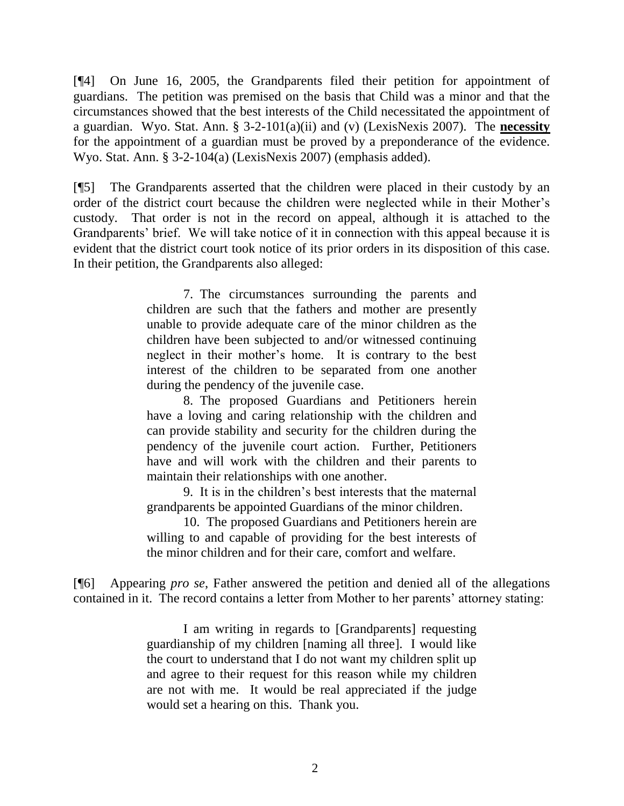[¶4] On June 16, 2005, the Grandparents filed their petition for appointment of guardians. The petition was premised on the basis that Child was a minor and that the circumstances showed that the best interests of the Child necessitated the appointment of a guardian. Wyo. Stat. Ann. § 3-2-101(a)(ii) and (v) (LexisNexis 2007). The **necessity** for the appointment of a guardian must be proved by a preponderance of the evidence. Wyo. Stat. Ann. § 3-2-104(a) (LexisNexis 2007) (emphasis added).

[¶5] The Grandparents asserted that the children were placed in their custody by an order of the district court because the children were neglected while in their Mother's custody. That order is not in the record on appeal, although it is attached to the Grandparents' brief. We will take notice of it in connection with this appeal because it is evident that the district court took notice of its prior orders in its disposition of this case. In their petition, the Grandparents also alleged:

> 7. The circumstances surrounding the parents and children are such that the fathers and mother are presently unable to provide adequate care of the minor children as the children have been subjected to and/or witnessed continuing neglect in their mother's home. It is contrary to the best interest of the children to be separated from one another during the pendency of the juvenile case.

> 8. The proposed Guardians and Petitioners herein have a loving and caring relationship with the children and can provide stability and security for the children during the pendency of the juvenile court action. Further, Petitioners have and will work with the children and their parents to maintain their relationships with one another.

> 9. It is in the children's best interests that the maternal grandparents be appointed Guardians of the minor children.

> 10. The proposed Guardians and Petitioners herein are willing to and capable of providing for the best interests of the minor children and for their care, comfort and welfare.

[¶6] Appearing *pro se*, Father answered the petition and denied all of the allegations contained in it. The record contains a letter from Mother to her parents' attorney stating:

> I am writing in regards to [Grandparents] requesting guardianship of my children [naming all three]. I would like the court to understand that I do not want my children split up and agree to their request for this reason while my children are not with me. It would be real appreciated if the judge would set a hearing on this. Thank you.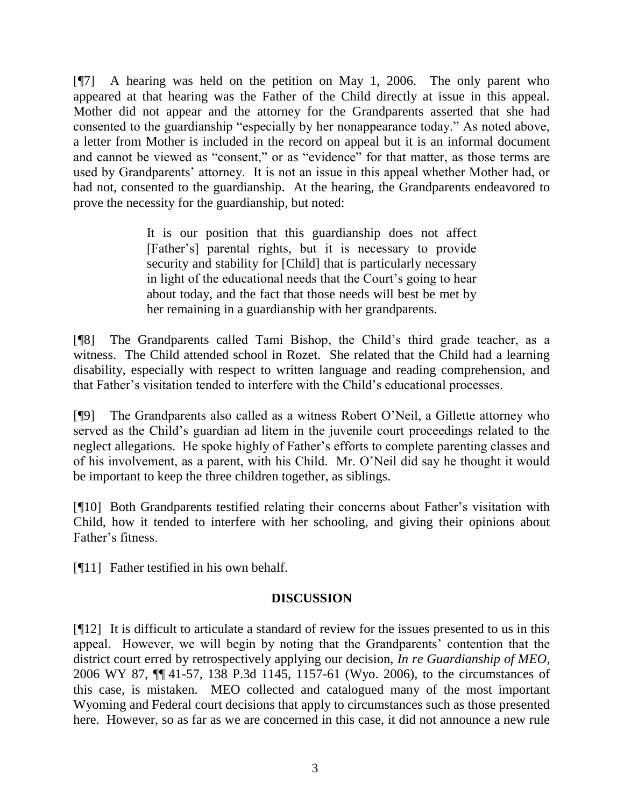[¶7] A hearing was held on the petition on May 1, 2006. The only parent who appeared at that hearing was the Father of the Child directly at issue in this appeal. Mother did not appear and the attorney for the Grandparents asserted that she had consented to the guardianship "especially by her nonappearance today." As noted above, a letter from Mother is included in the record on appeal but it is an informal document and cannot be viewed as "consent," or as "evidence" for that matter, as those terms are used by Grandparents' attorney. It is not an issue in this appeal whether Mother had, or had not, consented to the guardianship. At the hearing, the Grandparents endeavored to prove the necessity for the guardianship, but noted:

> It is our position that this guardianship does not affect [Father's] parental rights, but it is necessary to provide security and stability for [Child] that is particularly necessary in light of the educational needs that the Court's going to hear about today, and the fact that those needs will best be met by her remaining in a guardianship with her grandparents.

[¶8] The Grandparents called Tami Bishop, the Child's third grade teacher, as a witness. The Child attended school in Rozet. She related that the Child had a learning disability, especially with respect to written language and reading comprehension, and that Father's visitation tended to interfere with the Child's educational processes.

[¶9] The Grandparents also called as a witness Robert O'Neil, a Gillette attorney who served as the Child's guardian ad litem in the juvenile court proceedings related to the neglect allegations. He spoke highly of Father's efforts to complete parenting classes and of his involvement, as a parent, with his Child. Mr. O'Neil did say he thought it would be important to keep the three children together, as siblings.

[¶10] Both Grandparents testified relating their concerns about Father's visitation with Child, how it tended to interfere with her schooling, and giving their opinions about Father's fitness.

[¶11] Father testified in his own behalf.

## **DISCUSSION**

[¶12] It is difficult to articulate a standard of review for the issues presented to us in this appeal. However, we will begin by noting that the Grandparents' contention that the district court erred by retrospectively applying our decision, *In re Guardianship of MEO*, 2006 WY 87, ¶¶ 41-57, 138 P.3d 1145, 1157-61 (Wyo. 2006), to the circumstances of this case, is mistaken. MEO collected and catalogued many of the most important Wyoming and Federal court decisions that apply to circumstances such as those presented here. However, so as far as we are concerned in this case, it did not announce a new rule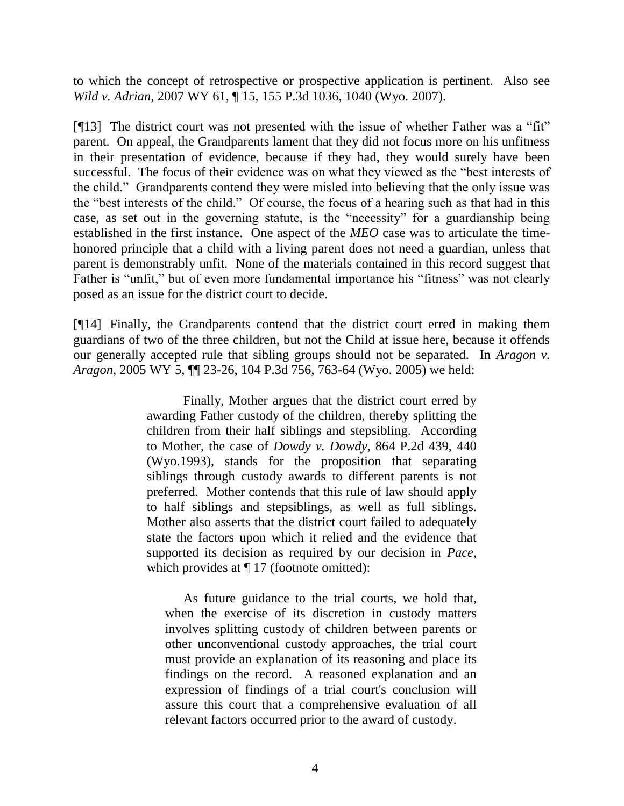to which the concept of retrospective or prospective application is pertinent. Also see *Wild v. Adrian*, 2007 WY 61, ¶ 15, 155 P.3d 1036, 1040 (Wyo. 2007).

[¶13] The district court was not presented with the issue of whether Father was a "fit" parent. On appeal, the Grandparents lament that they did not focus more on his unfitness in their presentation of evidence, because if they had, they would surely have been successful. The focus of their evidence was on what they viewed as the "best interests of the child." Grandparents contend they were misled into believing that the only issue was the "best interests of the child." Of course, the focus of a hearing such as that had in this case, as set out in the governing statute, is the "necessity" for a guardianship being established in the first instance. One aspect of the *MEO* case was to articulate the timehonored principle that a child with a living parent does not need a guardian, unless that parent is demonstrably unfit. None of the materials contained in this record suggest that Father is "unfit," but of even more fundamental importance his "fitness" was not clearly posed as an issue for the district court to decide.

[¶14] Finally, the Grandparents contend that the district court erred in making them guardians of two of the three children, but not the Child at issue here, because it offends our generally accepted rule that sibling groups should not be separated. In *Aragon v. Aragon*, 2005 WY 5, ¶¶ 23-26, 104 P.3d 756, 763-64 (Wyo. 2005) we held:

> Finally, Mother argues that the district court erred by awarding Father custody of the children, thereby splitting the children from their half siblings and stepsibling. According to Mother, the case of *Dowdy v. Dowdy*, 864 P.2d 439, 440 (Wyo.1993), stands for the proposition that separating siblings through custody awards to different parents is not preferred. Mother contends that this rule of law should apply to half siblings and stepsiblings, as well as full siblings. Mother also asserts that the district court failed to adequately state the factors upon which it relied and the evidence that supported its decision as required by our decision in *Pace*, which provides at  $\P$  17 (footnote omitted):

As future guidance to the trial courts, we hold that, when the exercise of its discretion in custody matters involves splitting custody of children between parents or other unconventional custody approaches, the trial court must provide an explanation of its reasoning and place its findings on the record. A reasoned explanation and an expression of findings of a trial court's conclusion will assure this court that a comprehensive evaluation of all relevant factors occurred prior to the award of custody.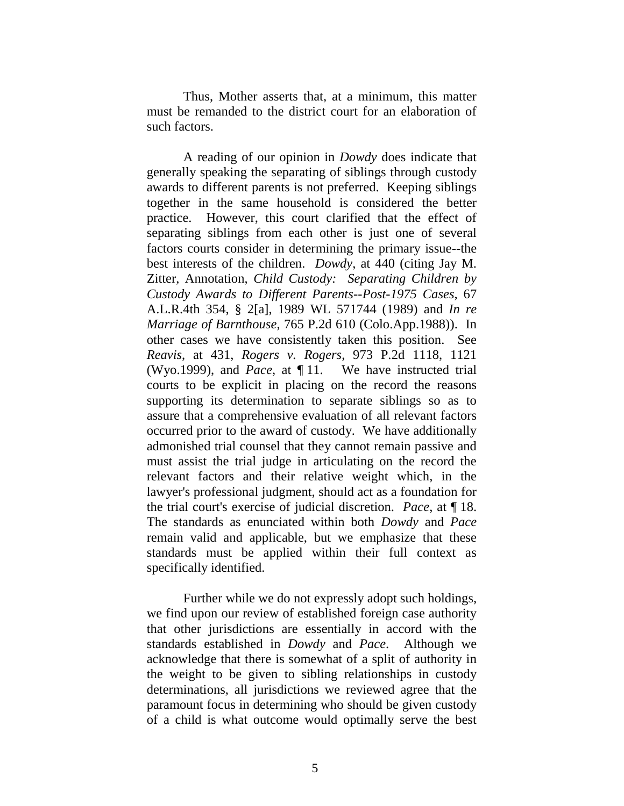Thus, Mother asserts that, at a minimum, this matter must be remanded to the district court for an elaboration of such factors.

A reading of our opinion in *Dowdy* does indicate that generally speaking the separating of siblings through custody awards to different parents is not preferred. Keeping siblings together in the same household is considered the better practice. However, this court clarified that the effect of separating siblings from each other is just one of several factors courts consider in determining the primary issue--the best interests of the children. *Dowdy*, at 440 (citing Jay M. Zitter, Annotation, *Child Custody: Separating Children by Custody Awards to Different Parents--Post-1975 Cases*, 67 A.L.R.4th 354, § 2[a], 1989 WL 571744 (1989) and *In re Marriage of Barnthouse*, 765 P.2d 610 (Colo.App.1988)). In other cases we have consistently taken this position. See *Reavis*, at 431, *Rogers v. Rogers*, 973 P.2d 1118, 1121 (Wyo.1999), and *Pace*, at ¶ 11. We have instructed trial courts to be explicit in placing on the record the reasons supporting its determination to separate siblings so as to assure that a comprehensive evaluation of all relevant factors occurred prior to the award of custody. We have additionally admonished trial counsel that they cannot remain passive and must assist the trial judge in articulating on the record the relevant factors and their relative weight which, in the lawyer's professional judgment, should act as a foundation for the trial court's exercise of judicial discretion. *Pace*, at ¶ 18. The standards as enunciated within both *Dowdy* and *Pace* remain valid and applicable, but we emphasize that these standards must be applied within their full context as specifically identified.

Further while we do not expressly adopt such holdings, we find upon our review of established foreign case authority that other jurisdictions are essentially in accord with the standards established in *Dowdy* and *Pace*. Although we acknowledge that there is somewhat of a split of authority in the weight to be given to sibling relationships in custody determinations, all jurisdictions we reviewed agree that the paramount focus in determining who should be given custody of a child is what outcome would optimally serve the best